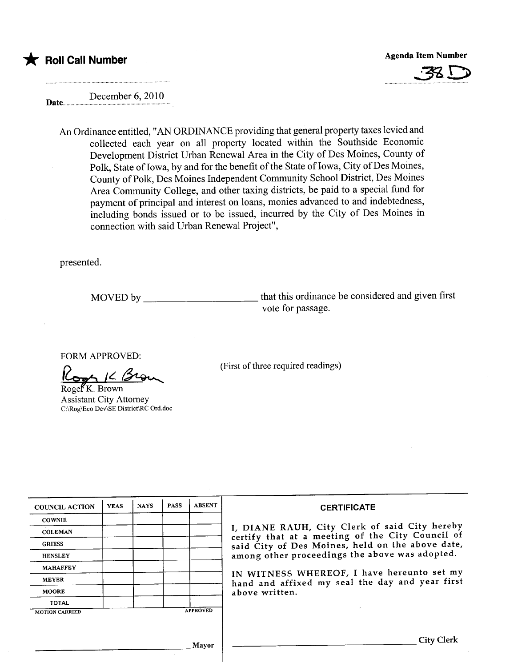$\bigstar$  Roll Call Number

Agenda Item Number



December 6, 2010 Date.............. .................................

An Ordinance entitled, "AN ORDINANCE providing that general property taxes levied and collected each year on all property located within the Southside Economic Development District Urban Renewal Area in the City of Des Moines, County of Polk, State of Iowa, by and for the benefit of the State of Iowa, City of Des Moines, County of Polk, Des Moines Independent Community School District, Des Moines Area Community College, and other taxing districts, be paid to a special fund for payment of principal and interest on loans, monies advanced to and indebtedness, including bonds issued or to be issued, incurred by the City of Des Moines in connection with said Urban Renewal Project",

presented.

MOVED by that this ordinance be considered and given first vote for passage.

FORM APPROVED:

FORM APPROVED:<br>Cors K. Brown

Assistant City Attorney C:\Rog\Eco Dev\SE District\RC Ord.doc

(First of three required readings)

| <b>COUNCIL ACTION</b> | <b>YEAS</b> | <b>NAYS</b> | <b>PASS</b> | <b>ABSENT</b>   | <b>CERTIFICATE</b>                                                                                                                                                                                                                                                                                                         |
|-----------------------|-------------|-------------|-------------|-----------------|----------------------------------------------------------------------------------------------------------------------------------------------------------------------------------------------------------------------------------------------------------------------------------------------------------------------------|
| <b>COWNIE</b>         |             |             |             |                 | I, DIANE RAUH, City Clerk of said City hereby<br>certify that at a meeting of the City Council of<br>said City of Des Moines, held on the above date,<br>among other proceedings the above was adopted.<br>IN WITNESS WHEREOF, I have hereunto set my<br>hand and affixed my seal the day and year first<br>above written. |
| <b>COLEMAN</b>        |             |             |             |                 |                                                                                                                                                                                                                                                                                                                            |
| <b>GRIESS</b>         |             |             |             |                 |                                                                                                                                                                                                                                                                                                                            |
| <b>HENSLEY</b>        |             |             |             |                 |                                                                                                                                                                                                                                                                                                                            |
| <b>MAHAFFEY</b>       |             |             |             |                 |                                                                                                                                                                                                                                                                                                                            |
| <b>MEYER</b>          |             |             |             |                 |                                                                                                                                                                                                                                                                                                                            |
| <b>MOORE</b>          |             |             |             |                 |                                                                                                                                                                                                                                                                                                                            |
| <b>TOTAL</b>          |             |             |             |                 |                                                                                                                                                                                                                                                                                                                            |
| <b>MOTION CARRIED</b> |             |             |             | <b>APPROVED</b> |                                                                                                                                                                                                                                                                                                                            |
|                       |             |             |             |                 |                                                                                                                                                                                                                                                                                                                            |
|                       |             |             |             | Mayor           | <b>City Clerk</b>                                                                                                                                                                                                                                                                                                          |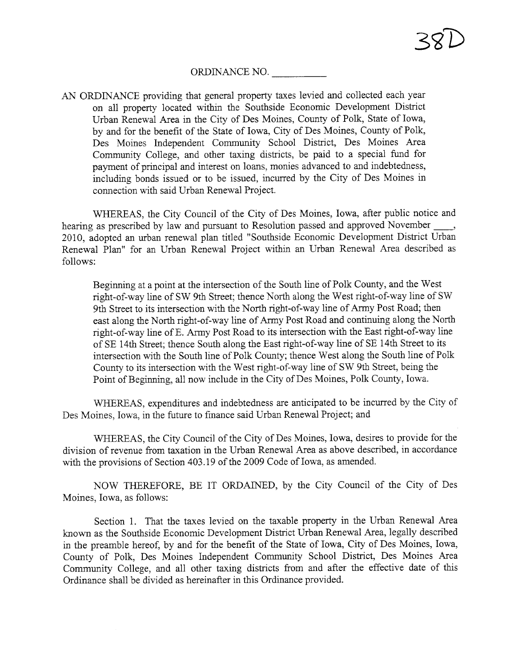## ORDINANCE NO.

AN ORDINANCE providing that general property taxes levied and collected each year on all property located within the Southside Economic Development District Urban Renewal Area in the City of Des Moines, County of Polk, State of Iowa, by and for the benefit of the State of Iowa, City of Des Moines, County of Polk, Des Moines Independent Community School District, Des Moines Area Community College, and other taxing districts, be paid to a special fund for payment of principal and interest on loans, monies advanced to and indebtedness, including bonds issued or to be issued, incured by the City of Des Moines in connection with said Urban Renewal Project.

WHEREAS, the City Council of the City of Des Moines, Iowa, after public notice and hearing as prescribed by law and pursuant to Resolution passed and approved November \_, 2010, adopted an urban renewal plan titled "Southside Economic Development District Urban Renewal Plan" for an Urban Renewal Project within an Urban Renewal Area described as follows:

Beginning at a point at the intersection of the South line of Polk County, and the West right-of-way line of SW 9th Street; thence North along the West right-of-way line of SW 9th Street to its intersection with the North right-of-way line of Army Post Road; then east along the North right-of-way line of Army Post Road and continuing along the North right-of-way line of E. Army Post Road to its intersection with the East right-of-way line of SE 14th Street; thence South along the East right-of-way line of SE 14th Street to its intersection with the South line of Polk County; thence West along the South line of Polk County to its intersection with the West right-of-way line of SW 9th Street, being the Point of Beginning, all now include in the City of Des Moines, Polk County, Iowa.

WHEREAS, expenditures and indebtedness are anticipated to be incurred by the City of Des Moines, Iowa, in the future to finance said Urban Renewal Project; and

WHEREAS, the City Council of the City of Des Moines, Iowa, desires to provide for the division of revenue from taxation in the Urban Renewal Area as above described, in accordance with the provisions of Section 403.19 of the 2009 Code of Iowa, as amended.

NOW THEREFORE, BE IT ORDAINED, by the City Council of the City of Des Moines, Iowa, as follows:

Section 1. That the taxes levied on the taxable property in the Urban Renewal Area known as the Southside Economic Development District Urban Renewal Area, legally described in the preamble hereof, by and for the benefit of the State of Iowa, City of Des Moines, Iowa, County of Polk, Des Moines Independent Community School District, Des Moines Area Community College, and all other taxing districts from and after the effective date of this Ordinance shall be divided as hereinafter in this Ordinance provided.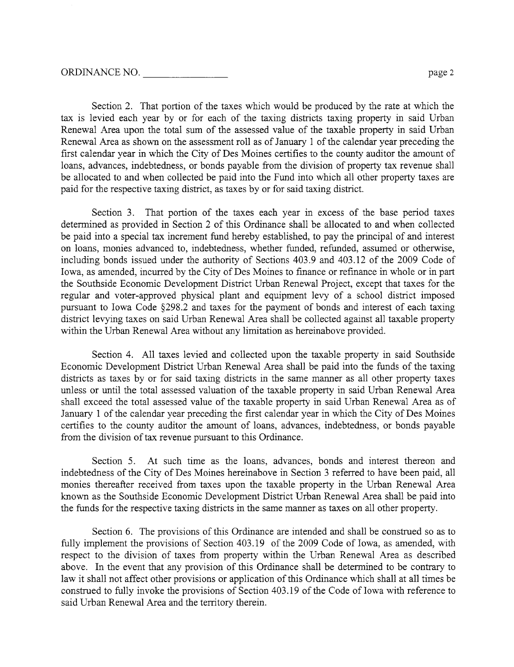Section 2. That portion of the taxes which would be produced by the rate at which the tax is levied each year by or for each of the taxing districts taxing property in said Urban Renewal Area upon the total sum of the assessed value of the taxable property in said Urban Renewal Area as shown on the assessment roll as of January 1 of the calendar year preceding the first calendar year in which the City of Des Moines certifies to the county auditor the amount of loans, advances, indebtedness, or bonds payable from the division of property tax revenue shall be allocated to and when collected be paid into the Fund into which all other property taxes are paid for the respective taxing district, as taxes by or for said taxing district.

Section 3. That portion of the taxes each year in excess of the base period taxes determned as provided in Section 2 of this Ordinance shall be allocated to and when collected be paid into a special tax increment fud hereby established, to pay the principal of and interest on loans, monies advanced to, indebtedness, whether fuded, refuded, assumed or otherwise, including bonds issued under the authority of Sections 403.9 and 403.12 of the 2009 Code of Iowa, as amended, incured by the City of Des Moines to finance or refinance in whole or in par the Southside Economic Development District Urban Renewal Project, except that taxes for the regular and voter-approved physical plant and equipment levy of a school district imposed pursuant to Iowa Code §298.2 and taxes for the payment of bonds and interest of each taxing district levying taxes on said Urban Renewal Area shall be collected against all taxable propert within the Urban Renewal Area without any limitation as hereinabove provided.

Section 4. All taxes levied and collected upon the taxable property in said Southside Economic Development District Urban Renewal Area shall be paid into the funds of the taxing districts as taxes by or for said taxing districts in the same manner as all other property taxes unless or until the total assessed valuation of the taxable property in said Urban Renewal Area shall exceed the total assessed value of the taxable property in said Urban Renewal Area as of January 1 of the calendar year preceding the first calendar year in which the City of Des Moines certifies to the county auditor the amount of loans, advances, indebtedness, or bonds payable from the division of tax revenue pursuant to this Ordinance.

Section 5. At such time as the loans, advances, bonds and interest thereon and indebtedness of the City of Des Moines hereinabove in Section 3 referred to have been paid, all monies thereafter received from taxes upon the taxable property in the Urban Renewal Area known as the Southside Economic Development District Urban Renewal Area shall be paid into the funds for the respective taxing districts in the same manner as taxes on all other propert.

Section 6. The provisions of this Ordinance are intended and shall be constred so as to fully implement the provisions of Section 403.19 of the 2009 Code of Iowa, as amended, with respect to the division of taxes from property within the Urban Renewal Area as described above. In the event that any provision of this Ordinance shall be determined to be contrary to law it shall not affect other provisions or application of this Ordinance which shall at all times be constred to fully invoke the provisions of Section 403.19 of the Code of Iowa with reference to said Urban Renewal Area and the territory therein.